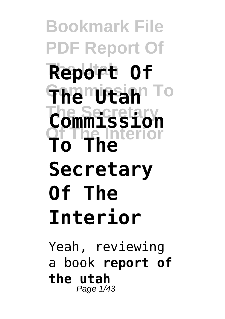**Bookmark File PDF Report Of The Utah Report Of Commission To The Utah The Secretary Commission Of The Interior To The Secretary Of The Interior**

Yeah, reviewing a book **report of the utah** Page 1/43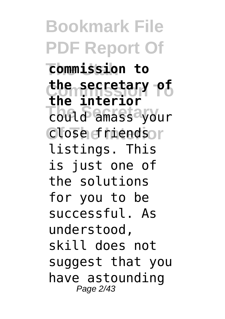**Bookmark File PDF Report Of The Utah commission to Commission To the secretary of The Secretary** could amass your **Close** friendsor **the interior** listings. This is just one of the solutions for you to be successful. As understood, skill does not suggest that you have astounding Page 2/43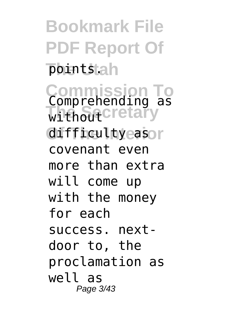**Bookmark File PDF Report Of points** ah

**Commission To** Comprehending as without cretary difficulty easor covenant even more than extra will come up with the money for each success. nextdoor to, the proclamation as well as Page 3/43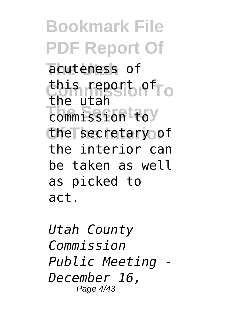**Bookmark File PDF Report Of The Utah** acuteness of **Commission To** this report of **The Secretary** the secretary of the utah the interior can be taken as well as picked to act.

*Utah County Commission Public Meeting - December 16,* Page 4/43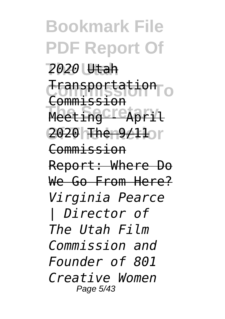**Bookmark File PDF Report Of The Utah** *2020* Utah **Commission To** Transportation **The Secretary** Meeting - April **2020 The 9/11** T Commission Commission Report: Where Do We Go From Here? *Virginia Pearce | Director of The Utah Film Commission and Founder of 801 Creative Women* Page 5/43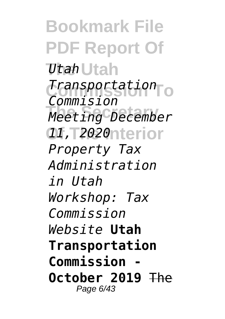**Bookmark File PDF Report Of The Utah** *Utah* **Commission To** *Transportation* **The Secretary** *Meeting December* **Of The Interior** *11, 2020 Commision Property Tax Administration in Utah Workshop: Tax Commission Website* **Utah Transportation Commission - October 2019** The Page 6/43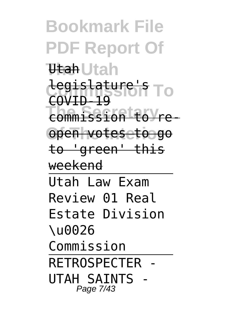**Bookmark File PDF Report Of** <del>Utah</del> Utah **Legislature's**<br>Covin 18 **The Secretary Commission to Yre-Of The Interior** open votes to go COVID-19 to 'green' this weekend Utah Law Exam Review 01 Real Estate Division \u0026 Commission RETROSPECTER - UTAH SAINTS - Page 7/43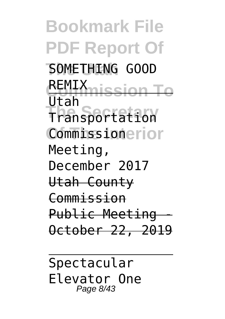**Bookmark File PDF Report Of The Utah** SOMETHING GOOD **REMIX**<br>High mission To **The Secretary** Transportation Commissionerior Utah Meeting, December 2017 Utah County Commission Public Meeting October 22, 2019

Spectacular Elevator One Page 8/43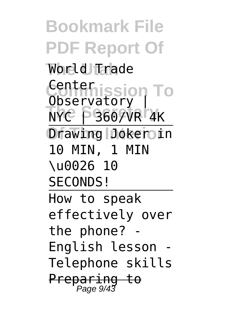**Bookmark File PDF Report Of The Utah** World Trade **Centeression To The Secretary** NYC | 360/VR 4K Drawing Joker in Observatory | 10 MIN, 1 MIN \u0026 10 SECONDS! How to speak effectively over the phone? - English lesson Telephone skills Preparing to Page 9/43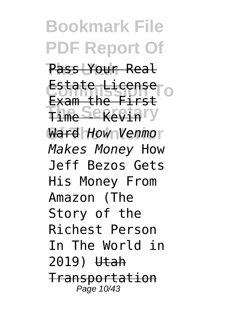**Bookmark File PDF Report Of The Utah** Pass Your Real Estate License<br>Evanjus Sport **Time Sekevin**ry Ward *How* Venmor Exam the First *Makes Money* How Jeff Bezos Gets His Money From Amazon (The Story of the Richest Person In The World in  $2019$ ) Utah Transportation Page 10/43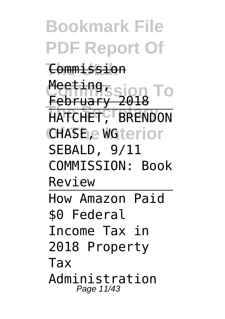**Bookmark File PDF Report Of The Utah** Commission **Commission To** February 2018 **THE SECRET, BRENDON** CHASE, e WGterior Meeting, SEBALD, 9/11 COMMISSION: Book Review How Amazon Paid \$0 Federal Income Tax in 2018 Property Tax Administration Page 11/43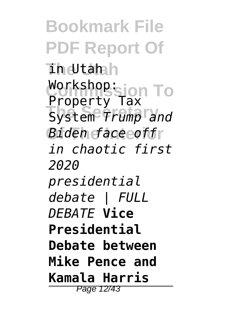**Bookmark File PDF Report Of The Utah** in Utah Workshop:<sub>Sion</sub> To **The Secretary** System *Trump and Biden face off* Property Tax *in chaotic first 2020 presidential debate | FULL DEBATE* **Vice Presidential Debate between Mike Pence and Kamala Harris**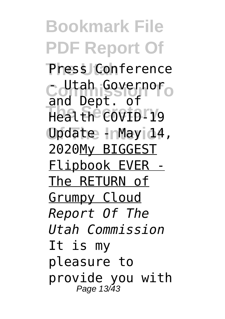**Bookmark File PDF Report Of** Press Conference Coltah Governoro **The Secretary** Health COVID-19 **Of The Interior** Update - May 14, and Dept. of 2020My BIGGEST Flipbook EVER - The RETURN of Grumpy Cloud *Report Of The Utah Commission* It is my pleasure to provide you with Page 13/43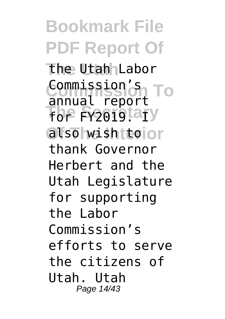**Bookmark File PDF Report Of The Utah** the Utah Labor **Commission To** Commission's **The FY2019. ITY** also wish to ior annual report thank Governor Herbert and the Utah Legislature for supporting the Labor Commission's efforts to serve the citizens of Utah. Utah Page 14/43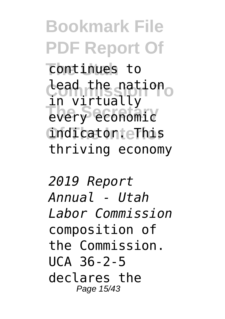## **Bookmark File PDF Report Of**

continues to **Lead the nation The Secretary Of The Interior** indicator. This in virtually thriving economy

*2019 Report Annual - Utah Labor Commission* composition of the Commission. UCA 36-2-5 declares the Page 15/43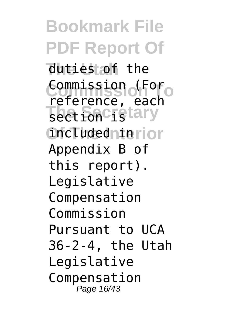**Bookmark File PDF Report Of The Utah** duties of the **Commission To** Commission (For **The Secretary Chicluded ninerior** reference, each Appendix B of this report). Legislative Compensation Commission Pursuant to UCA 36-2-4, the Utah Legislative Compensation Page 16/43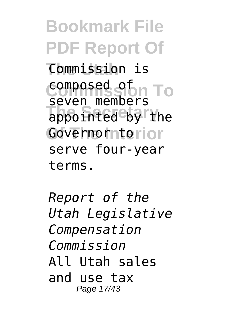**Bookmark File PDF Report Of The Utah** Commission is **Commission To** composed of appointed by the Governorntorior seven members serve four-year terms.

*Report of the Utah Legislative Compensation Commission* All Utah sales and use tax Page 17/43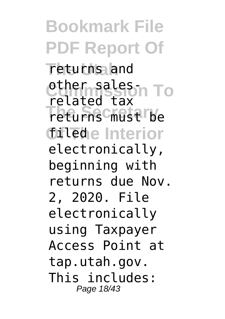**Bookmark File PDF Report Of The Utah** returns and **other sales-**<br>Colling 5300 To **The Secretary** returns must be **Cilede** Interior related tax electronically, beginning with returns due Nov. 2, 2020. File electronically using Taxpayer Access Point at tap.utah.gov. This includes: Page 18/43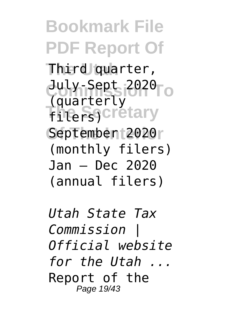**Bookmark File PDF Report Of The Utah** Third quarter, **Commission To** July-Sept 2020 **The Secretary** filers) September <sub>12020</sub> (quarterly (monthly filers) Jan – Dec 2020 (annual filers)

*Utah State Tax Commission | Official website for the Utah ...* Report of the Page 19/43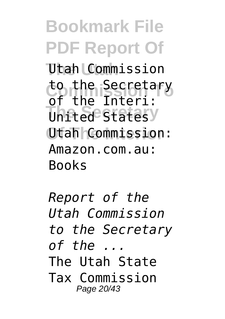**Bookmark File PDF Report Of The Utah** Utah Commission **Commission To** to the Secretary **Thited Statesy Of The Interior** Utah Commission: of the Interi: Amazon.com.au: Books

*Report of the Utah Commission to the Secretary of the ...* The Utah State Tax Commission Page 20/43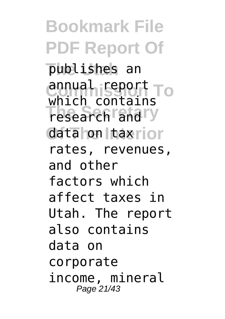**Bookmark File PDF Report Of The Utah** publishes an **Commission To** annual report **The Search and Ty** data on taxrior which contains rates, revenues, and other factors which affect taxes in Utah. The report also contains data on corporate income, mineral Page 21/43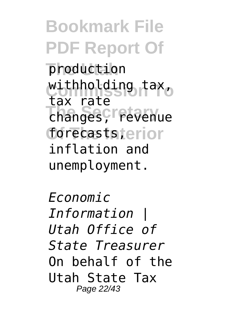**Bookmark File PDF Report Of** production withholding tax<sub>o</sub> changes, revenue forecasts, terior tax rate inflation and unemployment.

*Economic Information | Utah Office of State Treasurer* On behalf of the Utah State Tax Page 22/43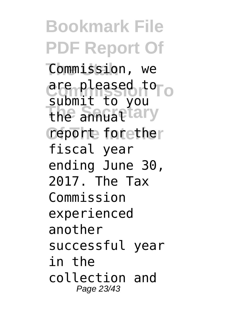**Bookmark File PDF Report Of The Utah** Commission, we **Commission To** are pleased to the annual tary *<u>Report</u>* for ether submit to you fiscal year ending June 30, 2017. The Tax Commission experienced another successful year in the collection and Page 23/43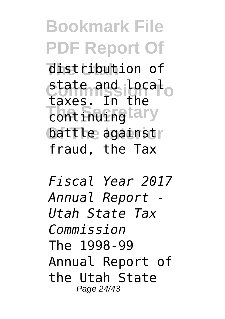**Bookmark File PDF Report Of The Utah** distribution of state and local<sub>o</sub> **The Secretary** battle againstr taxes. In the fraud, the Tax

*Fiscal Year 2017 Annual Report - Utah State Tax Commission* The 1998-99 Annual Report of the Utah State Page 24/43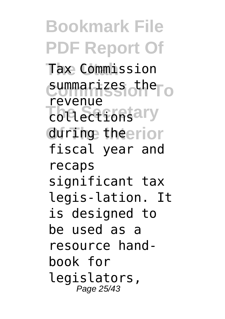**Bookmark File PDF Report Of The Utah** Tax Commission **Summarizes the To Tollectionsary Of The Interior** during the revenue fiscal year and recaps significant tax legis-lation. It is designed to be used as a resource handbook for legislators, Page 25/43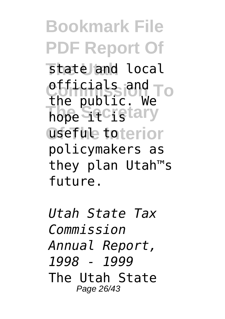**Bookmark File PDF Report Of** state and local **officials and To The Secretary** Usefule toterior the public. We policymakers as they plan Utah™s future.

*Utah State Tax Commission Annual Report, 1998 - 1999* The Utah State Page 26/43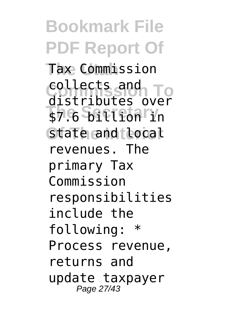**Bookmark File PDF Report Of The Utah** Tax Commission **Commission To** distributes over **The Secretary** \$7.6 billion in State and local collects and revenues. The primary Tax Commission responsibilities include the following: Process revenue, returns and update taxpayer Page 27/43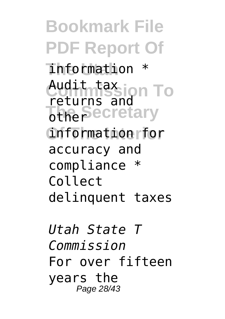**Bookmark File PDF Report Of** Information \* Audit tax<br>Commission To **The Secretary Of The Interior** information for returns and accuracy and compliance \* Collect delinquent taxes

*Utah State T Commission* For over fifteen years the Page 28/43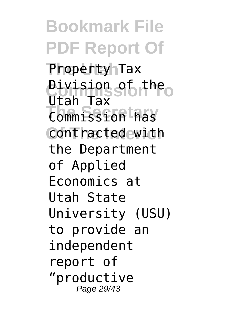**Bookmark File PDF Report Of The Utah** Property Tax **Commission To** Division of the **Commission has** Contracted with Utah Tax the Department of Applied Economics at Utah State University (USU) to provide an independent report of "productive Page 29/43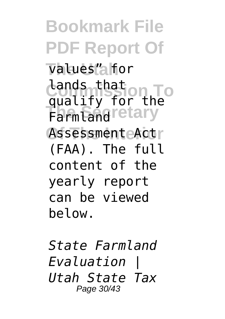**Bookmark File PDF Report Of** values" alfor **Commission To** lands that **The Secretary** Assessment **Actr** qualify for the (FAA). The full content of the yearly report can be viewed below.

*State Farmland Evaluation | Utah State Tax* Page 30/43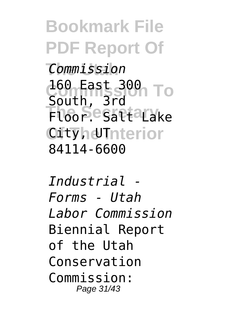**Bookmark File PDF Report Of The Utah** *Commission* **260 East 300 To FlooPesattaLake** *<u>Oityhe Interior</u>* South, 3rd 84114-6600

*Industrial - Forms - Utah Labor Commission* Biennial Report of the Utah Conservation Commission: Page 31/43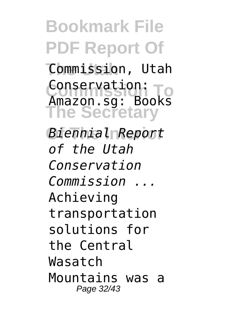**Bookmark File PDF Report Of The Utah** Commission, Utah **Commission To** Amazon.sg: Books **The Secretary Of The Interior** *Biennial Report* Conservation: *of the Utah Conservation Commission ...* Achieving transportation solutions for the Central Wasatch Mountains was a Page 32/43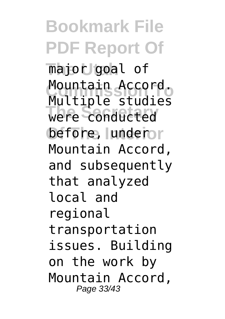**Bookmark File PDF Report Of The Utah** major goal of Mountain Accord. **The Secretary** were conducted before, underor Multiple studies Mountain Accord, and subsequently that analyzed local and regional transportation issues. Building on the work by Mountain Accord, Page 33/43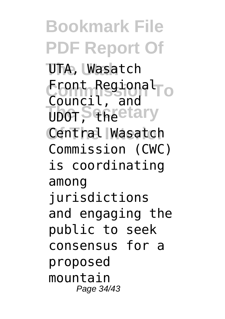**Bookmark File PDF Report Of UTA, Wasatch Front Regional The Serietary** Central Wasatch Council, and Commission (CWC) is coordinating among jurisdictions and engaging the public to seek consensus for a proposed mountain Page 34/43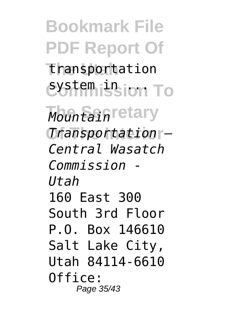**Bookmark File PDF Report Of The Utah** transportation **Commission To** system in ... **The Secretary** *Mountain* **Of The Interior** *Transportation – Central Wasatch Commission - Utah* 160 East 300 South 3rd Floor P.O. Box 146610 Salt Lake City, Utah 84114-6610 Office: Page 35/43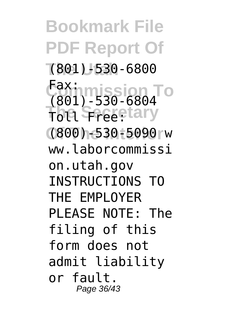**Bookmark File PDF Report Of The Utah** (801)-530-6800 **Commission To** Fax: **The Secretary Of The Interior** (800)-530-5090 w (801)-530-6804 ww.laborcommissi on.utah.gov INSTRUCTIONS TO THE EMPLOYER PLEASE NOTE: The filing of this form does not admit liability or fault. Page 36/43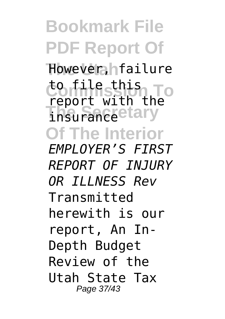**Bookmark File PDF Report Of The Utah** However, failure **Commission To** to file this **Theurance etary Of The Interior** report with the *EMPLOYER'S FIRST REPORT OF INJURY OR ILLNESS Rev* Transmitted herewith is our report, An In-Depth Budget Review of the Utah State Tax Page 37/43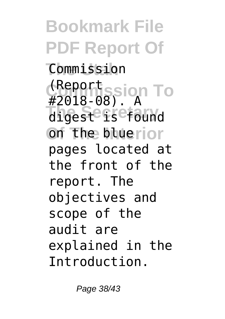**Bookmark File PDF Report Of The Utah** Commission **(Report ssion To** digest<sup>e</sup> is found **On the bluerior** #2018-08). A pages located at the front of the report. The objectives and scope of the audit are explained in the Introduction.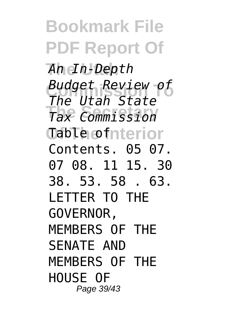**Bookmark File PDF Report Of The Utah** *An In-Depth* **Commission To** *Budget Review of* **The Secretary** *Tax Commission* **Of The Interior** Table of *The Utah State* Contents. 05 07. 07 08. 11 15. 30 38. 53. 58 . 63. LETTER TO THE GOVERNOR, MEMBERS OF THE SENATE AND MEMBERS OF THE HOUSE OF Page 39/43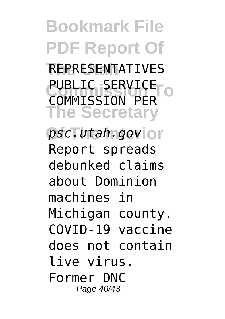**Bookmark File PDF Report Of The Utah** REPRESENTATIVES PUBLIC SERVICE<sub>TO</sub> **The Secretary** psc.utah.govior COMMISSION PER Report spreads debunked claims about Dominion machines in Michigan county. COVID-19 vaccine does not contain live virus. Former DNC Page 40/43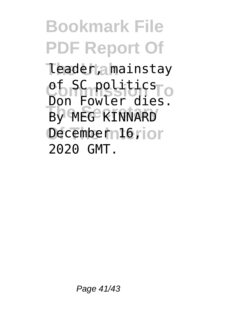## **Bookmark File PDF Report Of**

leader, mainstay **Constitution By MEG KINNARD** December 16, *ior* Don Fowler dies. 2020 GMT.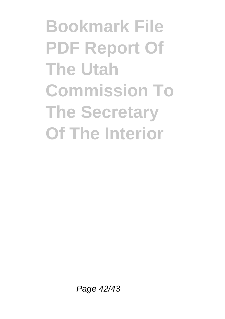**Bookmark File PDF Report Of The Utah Commission To The Secretary Of The Interior**